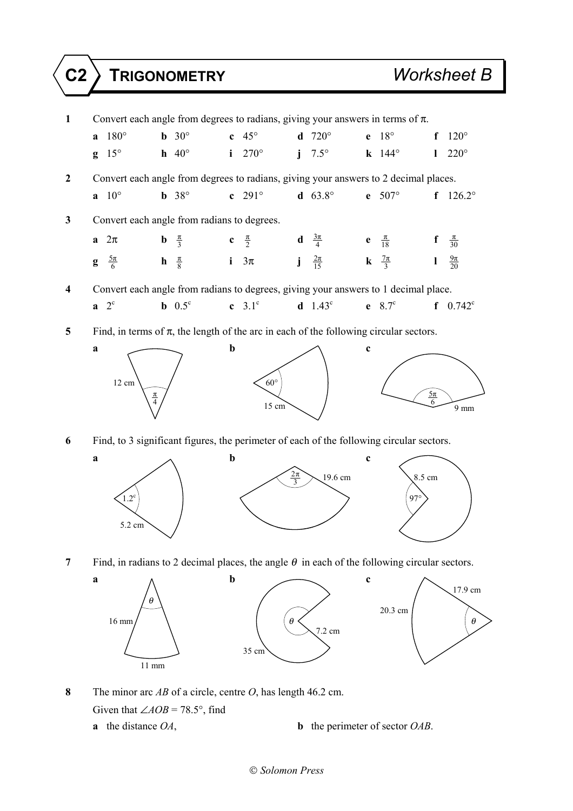## **C2 TRIGONOMETRY** *Worksheet B*





- **8** The minor arc *AB* of a circle, centre *O*, has length 46.2 cm. Given that  $\angle AOB = 78.5^\circ$ , find
	- **a** the distance *OA*, **b** the perimeter of sector *OAB*.